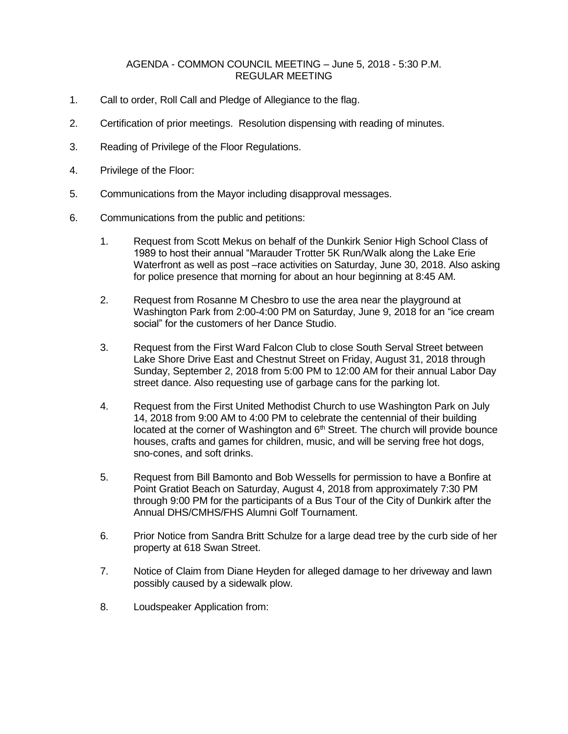## AGENDA - COMMON COUNCIL MEETING – June 5, 2018 - 5:30 P.M. REGULAR MEETING

- 1. Call to order, Roll Call and Pledge of Allegiance to the flag.
- 2. Certification of prior meetings. Resolution dispensing with reading of minutes.
- 3. Reading of Privilege of the Floor Regulations.
- 4. Privilege of the Floor:
- 5. Communications from the Mayor including disapproval messages.
- 6. Communications from the public and petitions:
	- 1. Request from Scott Mekus on behalf of the Dunkirk Senior High School Class of 1989 to host their annual "Marauder Trotter 5K Run/Walk along the Lake Erie Waterfront as well as post –race activities on Saturday, June 30, 2018. Also asking for police presence that morning for about an hour beginning at 8:45 AM.
	- 2. Request from Rosanne M Chesbro to use the area near the playground at Washington Park from 2:00-4:00 PM on Saturday, June 9, 2018 for an "ice cream social" for the customers of her Dance Studio.
	- 3. Request from the First Ward Falcon Club to close South Serval Street between Lake Shore Drive East and Chestnut Street on Friday, August 31, 2018 through Sunday, September 2, 2018 from 5:00 PM to 12:00 AM for their annual Labor Day street dance. Also requesting use of garbage cans for the parking lot.
	- 4. Request from the First United Methodist Church to use Washington Park on July 14, 2018 from 9:00 AM to 4:00 PM to celebrate the centennial of their building located at the corner of Washington and 6<sup>th</sup> Street. The church will provide bounce houses, crafts and games for children, music, and will be serving free hot dogs, sno-cones, and soft drinks.
	- 5. Request from Bill Bamonto and Bob Wessells for permission to have a Bonfire at Point Gratiot Beach on Saturday, August 4, 2018 from approximately 7:30 PM through 9:00 PM for the participants of a Bus Tour of the City of Dunkirk after the Annual DHS/CMHS/FHS Alumni Golf Tournament.
	- 6. Prior Notice from Sandra Britt Schulze for a large dead tree by the curb side of her property at 618 Swan Street.
	- 7. Notice of Claim from Diane Heyden for alleged damage to her driveway and lawn possibly caused by a sidewalk plow.
	- 8. Loudspeaker Application from: